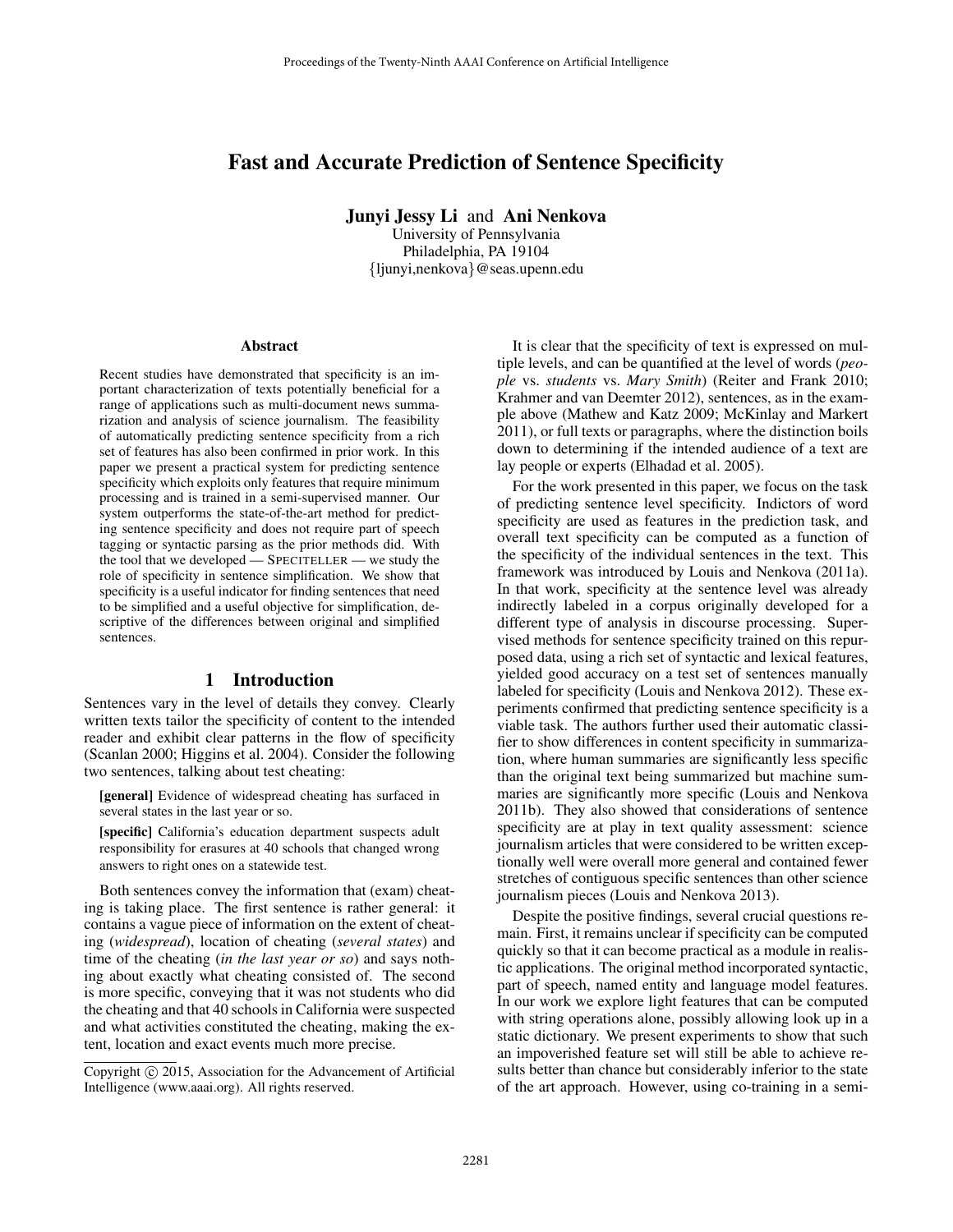# Fast and Accurate Prediction of Sentence Specificity

Junyi Jessy Li and Ani Nenkova

University of Pennsylvania Philadelphia, PA 19104 {ljunyi,nenkova}@seas.upenn.edu

#### Abstract

Recent studies have demonstrated that specificity is an important characterization of texts potentially beneficial for a range of applications such as multi-document news summarization and analysis of science journalism. The feasibility of automatically predicting sentence specificity from a rich set of features has also been confirmed in prior work. In this paper we present a practical system for predicting sentence specificity which exploits only features that require minimum processing and is trained in a semi-supervised manner. Our system outperforms the state-of-the-art method for predicting sentence specificity and does not require part of speech tagging or syntactic parsing as the prior methods did. With the tool that we developed — SPECITELLER — we study the role of specificity in sentence simplification. We show that specificity is a useful indicator for finding sentences that need to be simplified and a useful objective for simplification, descriptive of the differences between original and simplified sentences.

### 1 Introduction

Sentences vary in the level of details they convey. Clearly written texts tailor the specificity of content to the intended reader and exhibit clear patterns in the flow of specificity (Scanlan 2000; Higgins et al. 2004). Consider the following two sentences, talking about test cheating:

[general] Evidence of widespread cheating has surfaced in several states in the last year or so.

[specific] California's education department suspects adult responsibility for erasures at 40 schools that changed wrong answers to right ones on a statewide test.

Both sentences convey the information that (exam) cheating is taking place. The first sentence is rather general: it contains a vague piece of information on the extent of cheating (*widespread*), location of cheating (*several states*) and time of the cheating (*in the last year or so*) and says nothing about exactly what cheating consisted of. The second is more specific, conveying that it was not students who did the cheating and that 40 schools in California were suspected and what activities constituted the cheating, making the extent, location and exact events much more precise.

It is clear that the specificity of text is expressed on multiple levels, and can be quantified at the level of words (*people* vs. *students* vs. *Mary Smith*) (Reiter and Frank 2010; Krahmer and van Deemter 2012), sentences, as in the example above (Mathew and Katz 2009; McKinlay and Markert 2011), or full texts or paragraphs, where the distinction boils down to determining if the intended audience of a text are lay people or experts (Elhadad et al. 2005).

For the work presented in this paper, we focus on the task of predicting sentence level specificity. Indictors of word specificity are used as features in the prediction task, and overall text specificity can be computed as a function of the specificity of the individual sentences in the text. This framework was introduced by Louis and Nenkova (2011a). In that work, specificity at the sentence level was already indirectly labeled in a corpus originally developed for a different type of analysis in discourse processing. Supervised methods for sentence specificity trained on this repurposed data, using a rich set of syntactic and lexical features, yielded good accuracy on a test set of sentences manually labeled for specificity (Louis and Nenkova 2012). These experiments confirmed that predicting sentence specificity is a viable task. The authors further used their automatic classifier to show differences in content specificity in summarization, where human summaries are significantly less specific than the original text being summarized but machine summaries are significantly more specific (Louis and Nenkova 2011b). They also showed that considerations of sentence specificity are at play in text quality assessment: science journalism articles that were considered to be written exceptionally well were overall more general and contained fewer stretches of contiguous specific sentences than other science journalism pieces (Louis and Nenkova 2013).

Despite the positive findings, several crucial questions remain. First, it remains unclear if specificity can be computed quickly so that it can become practical as a module in realistic applications. The original method incorporated syntactic, part of speech, named entity and language model features. In our work we explore light features that can be computed with string operations alone, possibly allowing look up in a static dictionary. We present experiments to show that such an impoverished feature set will still be able to achieve results better than chance but considerably inferior to the state of the art approach. However, using co-training in a semi-

Copyright © 2015, Association for the Advancement of Artificial Intelligence (www.aaai.org). All rights reserved.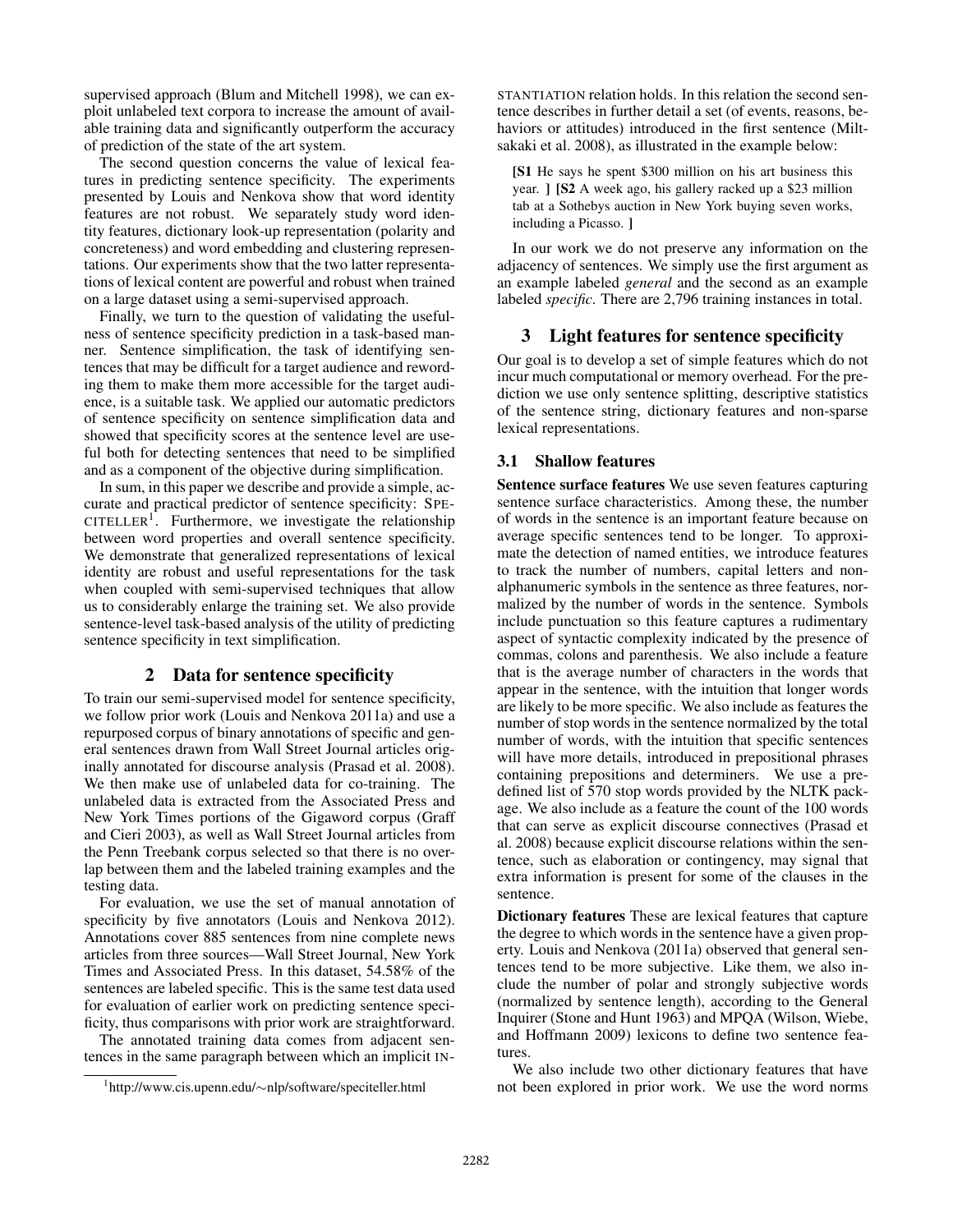supervised approach (Blum and Mitchell 1998), we can exploit unlabeled text corpora to increase the amount of available training data and significantly outperform the accuracy of prediction of the state of the art system.

The second question concerns the value of lexical features in predicting sentence specificity. The experiments presented by Louis and Nenkova show that word identity features are not robust. We separately study word identity features, dictionary look-up representation (polarity and concreteness) and word embedding and clustering representations. Our experiments show that the two latter representations of lexical content are powerful and robust when trained on a large dataset using a semi-supervised approach.

Finally, we turn to the question of validating the usefulness of sentence specificity prediction in a task-based manner. Sentence simplification, the task of identifying sentences that may be difficult for a target audience and rewording them to make them more accessible for the target audience, is a suitable task. We applied our automatic predictors of sentence specificity on sentence simplification data and showed that specificity scores at the sentence level are useful both for detecting sentences that need to be simplified and as a component of the objective during simplification.

In sum, in this paper we describe and provide a simple, accurate and practical predictor of sentence specificity: SPE-CITELLER<sup>1</sup>. Furthermore, we investigate the relationship between word properties and overall sentence specificity. We demonstrate that generalized representations of lexical identity are robust and useful representations for the task when coupled with semi-supervised techniques that allow us to considerably enlarge the training set. We also provide sentence-level task-based analysis of the utility of predicting sentence specificity in text simplification.

# 2 Data for sentence specificity

To train our semi-supervised model for sentence specificity, we follow prior work (Louis and Nenkova 2011a) and use a repurposed corpus of binary annotations of specific and general sentences drawn from Wall Street Journal articles originally annotated for discourse analysis (Prasad et al. 2008). We then make use of unlabeled data for co-training. The unlabeled data is extracted from the Associated Press and New York Times portions of the Gigaword corpus (Graff and Cieri 2003), as well as Wall Street Journal articles from the Penn Treebank corpus selected so that there is no overlap between them and the labeled training examples and the testing data.

For evaluation, we use the set of manual annotation of specificity by five annotators (Louis and Nenkova 2012). Annotations cover 885 sentences from nine complete news articles from three sources—Wall Street Journal, New York Times and Associated Press. In this dataset, 54.58% of the sentences are labeled specific. This is the same test data used for evaluation of earlier work on predicting sentence specificity, thus comparisons with prior work are straightforward.

The annotated training data comes from adjacent sentences in the same paragraph between which an implicit IN-

STANTIATION relation holds. In this relation the second sentence describes in further detail a set (of events, reasons, behaviors or attitudes) introduced in the first sentence (Miltsakaki et al. 2008), as illustrated in the example below:

[S1 He says he spent \$300 million on his art business this year. ] [S2 A week ago, his gallery racked up a \$23 million tab at a Sothebys auction in New York buying seven works, including a Picasso. ]

In our work we do not preserve any information on the adjacency of sentences. We simply use the first argument as an example labeled *general* and the second as an example labeled *specific*. There are 2,796 training instances in total.

# 3 Light features for sentence specificity

Our goal is to develop a set of simple features which do not incur much computational or memory overhead. For the prediction we use only sentence splitting, descriptive statistics of the sentence string, dictionary features and non-sparse lexical representations.

# 3.1 Shallow features

Sentence surface features We use seven features capturing sentence surface characteristics. Among these, the number of words in the sentence is an important feature because on average specific sentences tend to be longer. To approximate the detection of named entities, we introduce features to track the number of numbers, capital letters and nonalphanumeric symbols in the sentence as three features, normalized by the number of words in the sentence. Symbols include punctuation so this feature captures a rudimentary aspect of syntactic complexity indicated by the presence of commas, colons and parenthesis. We also include a feature that is the average number of characters in the words that appear in the sentence, with the intuition that longer words are likely to be more specific. We also include as features the number of stop words in the sentence normalized by the total number of words, with the intuition that specific sentences will have more details, introduced in prepositional phrases containing prepositions and determiners. We use a predefined list of 570 stop words provided by the NLTK package. We also include as a feature the count of the 100 words that can serve as explicit discourse connectives (Prasad et al. 2008) because explicit discourse relations within the sentence, such as elaboration or contingency, may signal that extra information is present for some of the clauses in the sentence.

Dictionary features These are lexical features that capture the degree to which words in the sentence have a given property. Louis and Nenkova (2011a) observed that general sentences tend to be more subjective. Like them, we also include the number of polar and strongly subjective words (normalized by sentence length), according to the General Inquirer (Stone and Hunt 1963) and MPQA (Wilson, Wiebe, and Hoffmann 2009) lexicons to define two sentence features.

We also include two other dictionary features that have not been explored in prior work. We use the word norms

<sup>1</sup> http://www.cis.upenn.edu/∼nlp/software/speciteller.html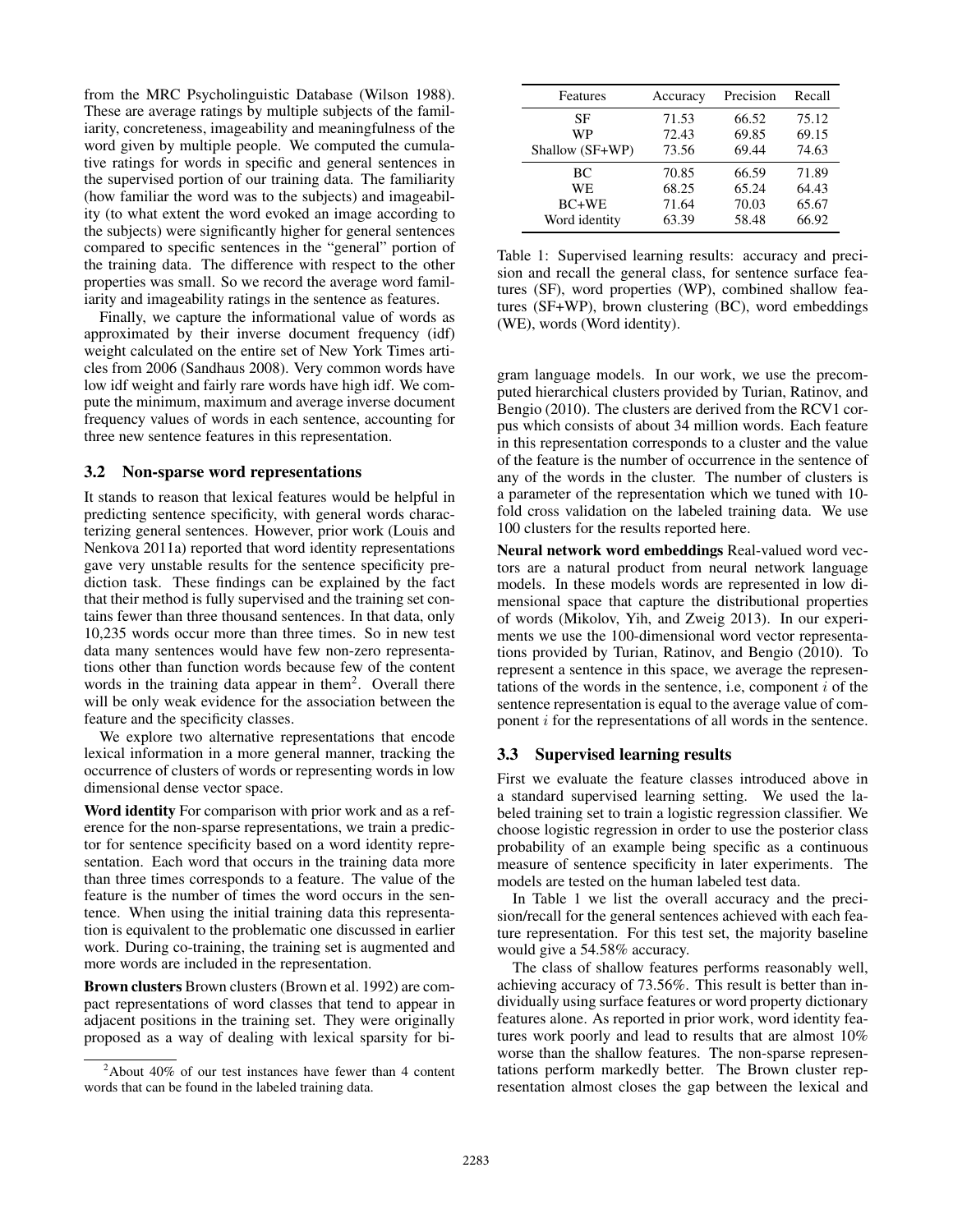from the MRC Psycholinguistic Database (Wilson 1988). These are average ratings by multiple subjects of the familiarity, concreteness, imageability and meaningfulness of the word given by multiple people. We computed the cumulative ratings for words in specific and general sentences in the supervised portion of our training data. The familiarity (how familiar the word was to the subjects) and imageability (to what extent the word evoked an image according to the subjects) were significantly higher for general sentences compared to specific sentences in the "general" portion of the training data. The difference with respect to the other properties was small. So we record the average word familiarity and imageability ratings in the sentence as features.

Finally, we capture the informational value of words as approximated by their inverse document frequency (idf) weight calculated on the entire set of New York Times articles from 2006 (Sandhaus 2008). Very common words have low idf weight and fairly rare words have high idf. We compute the minimum, maximum and average inverse document frequency values of words in each sentence, accounting for three new sentence features in this representation.

#### 3.2 Non-sparse word representations

It stands to reason that lexical features would be helpful in predicting sentence specificity, with general words characterizing general sentences. However, prior work (Louis and Nenkova 2011a) reported that word identity representations gave very unstable results for the sentence specificity prediction task. These findings can be explained by the fact that their method is fully supervised and the training set contains fewer than three thousand sentences. In that data, only 10,235 words occur more than three times. So in new test data many sentences would have few non-zero representations other than function words because few of the content words in the training data appear in them<sup>2</sup>. Overall there will be only weak evidence for the association between the feature and the specificity classes.

We explore two alternative representations that encode lexical information in a more general manner, tracking the occurrence of clusters of words or representing words in low dimensional dense vector space.

Word identity For comparison with prior work and as a reference for the non-sparse representations, we train a predictor for sentence specificity based on a word identity representation. Each word that occurs in the training data more than three times corresponds to a feature. The value of the feature is the number of times the word occurs in the sentence. When using the initial training data this representation is equivalent to the problematic one discussed in earlier work. During co-training, the training set is augmented and more words are included in the representation.

Brown clusters Brown clusters (Brown et al. 1992) are compact representations of word classes that tend to appear in adjacent positions in the training set. They were originally proposed as a way of dealing with lexical sparsity for bi-

| Features        | Accuracy | Precision | Recall |
|-----------------|----------|-----------|--------|
| SF              | 71.53    | 66.52     | 75.12  |
| WP              | 72.43    | 69.85     | 69.15  |
| Shallow (SF+WP) | 73.56    | 69.44     | 74.63  |
| ВC              | 70.85    | 66.59     | 71.89  |
| WE.             | 68.25    | 65.24     | 64.43  |
| $BC+WE$         | 71.64    | 70.03     | 65.67  |
| Word identity   | 63.39    | 58.48     | 66.92  |

Table 1: Supervised learning results: accuracy and precision and recall the general class, for sentence surface features (SF), word properties (WP), combined shallow features (SF+WP), brown clustering (BC), word embeddings (WE), words (Word identity).

gram language models. In our work, we use the precomputed hierarchical clusters provided by Turian, Ratinov, and Bengio (2010). The clusters are derived from the RCV1 corpus which consists of about 34 million words. Each feature in this representation corresponds to a cluster and the value of the feature is the number of occurrence in the sentence of any of the words in the cluster. The number of clusters is a parameter of the representation which we tuned with 10 fold cross validation on the labeled training data. We use 100 clusters for the results reported here.

Neural network word embeddings Real-valued word vectors are a natural product from neural network language models. In these models words are represented in low dimensional space that capture the distributional properties of words (Mikolov, Yih, and Zweig 2013). In our experiments we use the 100-dimensional word vector representations provided by Turian, Ratinov, and Bengio (2010). To represent a sentence in this space, we average the representations of the words in the sentence, i.e, component  $i$  of the sentence representation is equal to the average value of component i for the representations of all words in the sentence.

#### 3.3 Supervised learning results

First we evaluate the feature classes introduced above in a standard supervised learning setting. We used the labeled training set to train a logistic regression classifier. We choose logistic regression in order to use the posterior class probability of an example being specific as a continuous measure of sentence specificity in later experiments. The models are tested on the human labeled test data.

In Table 1 we list the overall accuracy and the precision/recall for the general sentences achieved with each feature representation. For this test set, the majority baseline would give a 54.58% accuracy.

The class of shallow features performs reasonably well, achieving accuracy of 73.56%. This result is better than individually using surface features or word property dictionary features alone. As reported in prior work, word identity features work poorly and lead to results that are almost 10% worse than the shallow features. The non-sparse representations perform markedly better. The Brown cluster representation almost closes the gap between the lexical and

 $2$ About 40% of our test instances have fewer than 4 content words that can be found in the labeled training data.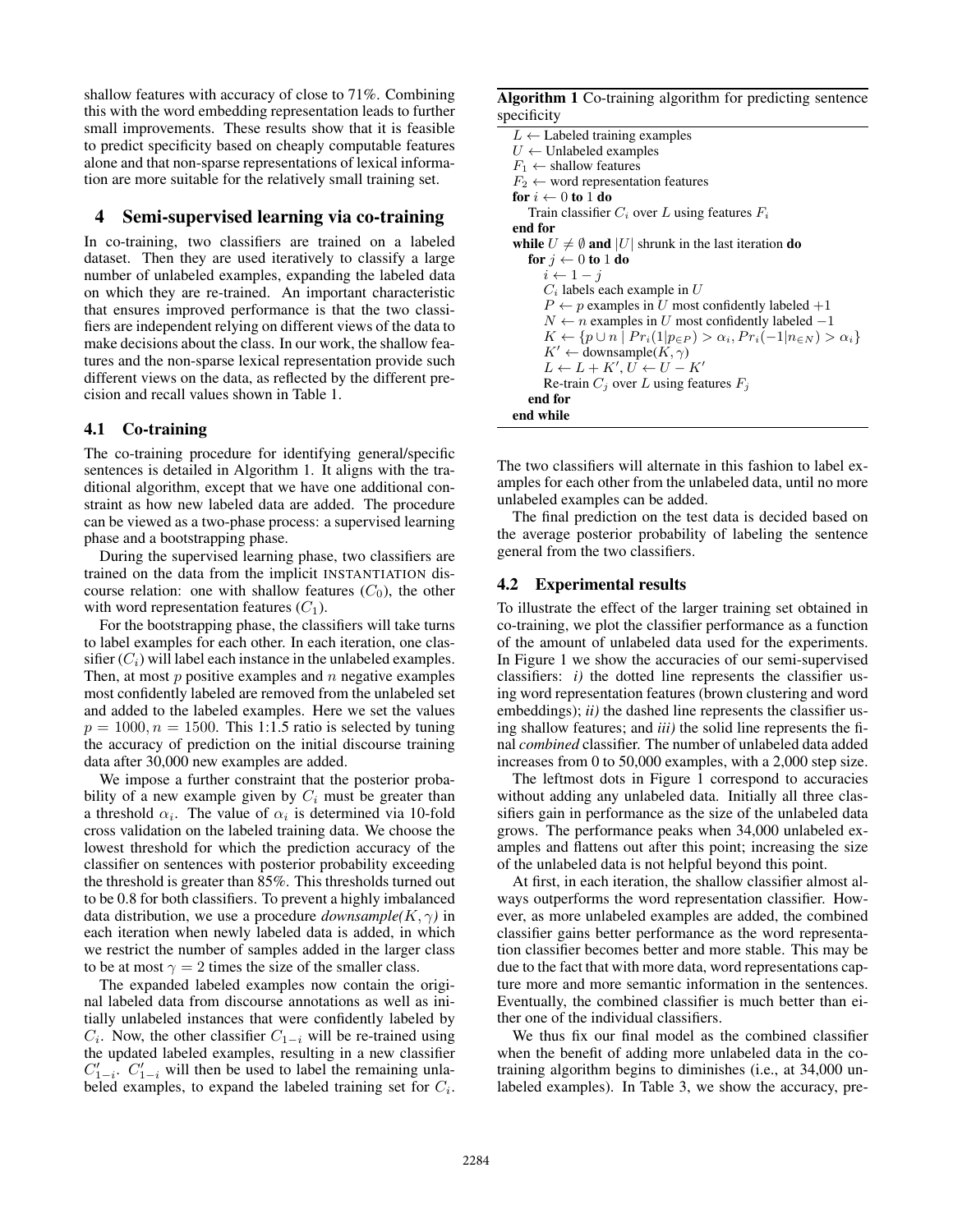shallow features with accuracy of close to 71%. Combining this with the word embedding representation leads to further small improvements. These results show that it is feasible to predict specificity based on cheaply computable features alone and that non-sparse representations of lexical information are more suitable for the relatively small training set.

## 4 Semi-supervised learning via co-training

In co-training, two classifiers are trained on a labeled dataset. Then they are used iteratively to classify a large number of unlabeled examples, expanding the labeled data on which they are re-trained. An important characteristic that ensures improved performance is that the two classifiers are independent relying on different views of the data to make decisions about the class. In our work, the shallow features and the non-sparse lexical representation provide such different views on the data, as reflected by the different precision and recall values shown in Table 1.

### 4.1 Co-training

The co-training procedure for identifying general/specific sentences is detailed in Algorithm 1. It aligns with the traditional algorithm, except that we have one additional constraint as how new labeled data are added. The procedure can be viewed as a two-phase process: a supervised learning phase and a bootstrapping phase.

During the supervised learning phase, two classifiers are trained on the data from the implicit INSTANTIATION discourse relation: one with shallow features  $(C_0)$ , the other with word representation features  $(C_1)$ .

For the bootstrapping phase, the classifiers will take turns to label examples for each other. In each iteration, one classifier  $(C_i)$  will label each instance in the unlabeled examples. Then, at most  $p$  positive examples and  $n$  negative examples most confidently labeled are removed from the unlabeled set and added to the labeled examples. Here we set the values  $p = 1000, n = 1500$ . This 1:1.5 ratio is selected by tuning the accuracy of prediction on the initial discourse training data after 30,000 new examples are added.

We impose a further constraint that the posterior probability of a new example given by  $C_i$  must be greater than a threshold  $\alpha_i$ . The value of  $\alpha_i$  is determined via 10-fold cross validation on the labeled training data. We choose the lowest threshold for which the prediction accuracy of the classifier on sentences with posterior probability exceeding the threshold is greater than 85%. This thresholds turned out to be 0.8 for both classifiers. To prevent a highly imbalanced data distribution, we use a procedure *downsample*( $K, \gamma$ ) in each iteration when newly labeled data is added, in which we restrict the number of samples added in the larger class to be at most  $\gamma = 2$  times the size of the smaller class.

The expanded labeled examples now contain the original labeled data from discourse annotations as well as initially unlabeled instances that were confidently labeled by  $C_i$ . Now, the other classifier  $C_{1-i}$  will be re-trained using the updated labeled examples, resulting in a new classifier  $C'_{1-i}$ .  $C'_{1-i}$  will then be used to label the remaining unlabeled examples, to expand the labeled training set for  $C_i$ .

Algorithm 1 Co-training algorithm for predicting sentence specificity

```
L \leftarrow Labeled training examples
U \leftarrow Unlabeled examples
F_1 \leftarrow shallow features
F_2 \leftarrow word representation features
for i \leftarrow 0 to 1 do
   Train classifier C_i over L using features F_iend for
while U \neq \emptyset and |U| shrunk in the last iteration do
   for j \leftarrow 0 to 1 do
      i \leftarrow 1 - jC_i labels each example in UP \leftarrow p examples in U most confidently labeled +1N \leftarrow n examples in U most confidently labeled -1K \leftarrow \{p \cup n \mid Pr_i(1|p_{\in P}) > \alpha_i, Pr_i(-1|n_{\in N}) > \alpha_i\}K' \leftarrow \text{downsample}(K, \gamma)L \leftarrow L + K', U \leftarrow U - K'Re-train C_j over L using features F_jend for
end while
```
The two classifiers will alternate in this fashion to label examples for each other from the unlabeled data, until no more unlabeled examples can be added.

The final prediction on the test data is decided based on the average posterior probability of labeling the sentence general from the two classifiers.

## 4.2 Experimental results

To illustrate the effect of the larger training set obtained in co-training, we plot the classifier performance as a function of the amount of unlabeled data used for the experiments. In Figure 1 we show the accuracies of our semi-supervised classifiers: *i)* the dotted line represents the classifier using word representation features (brown clustering and word embeddings); *ii*) the dashed line represents the classifier using shallow features; and *iii)* the solid line represents the final *combined* classifier. The number of unlabeled data added increases from 0 to 50,000 examples, with a 2,000 step size.

The leftmost dots in Figure 1 correspond to accuracies without adding any unlabeled data. Initially all three classifiers gain in performance as the size of the unlabeled data grows. The performance peaks when 34,000 unlabeled examples and flattens out after this point; increasing the size of the unlabeled data is not helpful beyond this point.

At first, in each iteration, the shallow classifier almost always outperforms the word representation classifier. However, as more unlabeled examples are added, the combined classifier gains better performance as the word representation classifier becomes better and more stable. This may be due to the fact that with more data, word representations capture more and more semantic information in the sentences. Eventually, the combined classifier is much better than either one of the individual classifiers.

We thus fix our final model as the combined classifier when the benefit of adding more unlabeled data in the cotraining algorithm begins to diminishes (i.e., at 34,000 unlabeled examples). In Table 3, we show the accuracy, pre-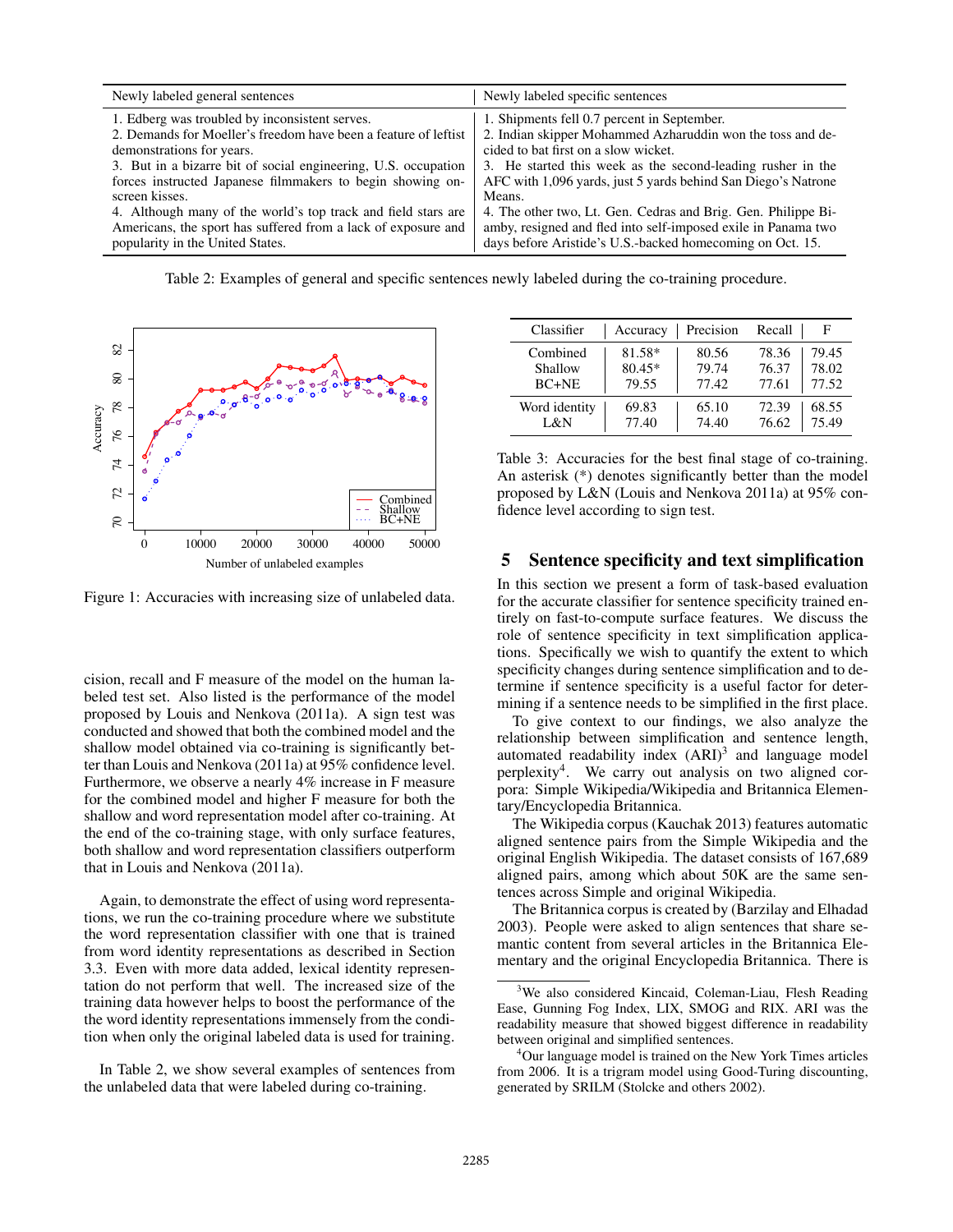| Newly labeled general sentences                                 | Newly labeled specific sentences                              |
|-----------------------------------------------------------------|---------------------------------------------------------------|
| 1. Edberg was troubled by inconsistent serves.                  | 1. Shipments fell 0.7 percent in September.                   |
| 2. Demands for Moeller's freedom have been a feature of leftist | 2. Indian skipper Mohammed Azharuddin won the toss and de-    |
| demonstrations for years.                                       | cided to bat first on a slow wicket.                          |
| 3. But in a bizarre bit of social engineering, U.S. occupation  | 3. He started this week as the second-leading rusher in the   |
| forces instructed Japanese filmmakers to begin showing on-      | AFC with 1,096 yards, just 5 yards behind San Diego's Natrone |
| screen kisses.                                                  | Means.                                                        |
| 4. Although many of the world's top track and field stars are   | 4. The other two, Lt. Gen. Cedras and Brig. Gen. Philippe Bi- |
| Americans, the sport has suffered from a lack of exposure and   | amby, resigned and fled into self-imposed exile in Panama two |
| popularity in the United States.                                | days before Aristide's U.S.-backed homecoming on Oct. 15.     |

Table 2: Examples of general and specific sentences newly labeled during the co-training procedure.



Figure 1: Accuracies with increasing size of unlabeled data.

cision, recall and F measure of the model on the human labeled test set. Also listed is the performance of the model proposed by Louis and Nenkova (2011a). A sign test was conducted and showed that both the combined model and the shallow model obtained via co-training is significantly better than Louis and Nenkova (2011a) at 95% confidence level. Furthermore, we observe a nearly 4% increase in F measure for the combined model and higher F measure for both the shallow and word representation model after co-training. At the end of the co-training stage, with only surface features, both shallow and word representation classifiers outperform that in Louis and Nenkova (2011a).

Again, to demonstrate the effect of using word representations, we run the co-training procedure where we substitute the word representation classifier with one that is trained from word identity representations as described in Section 3.3. Even with more data added, lexical identity representation do not perform that well. The increased size of the training data however helps to boost the performance of the the word identity representations immensely from the condition when only the original labeled data is used for training.

In Table 2, we show several examples of sentences from the unlabeled data that were labeled during co-training.

| Classifier    | Accuracy | Precision | Recall |       |
|---------------|----------|-----------|--------|-------|
| Combined      | 81.58*   | 80.56     | 78.36  | 79.45 |
| Shallow       | 80.45*   | 79.74     | 76.37  | 78.02 |
| $BC+NE$       | 79.55    | 77.42     | 77.61  | 77.52 |
| Word identity | 69.83    | 65.10     | 72.39  | 68.55 |
| L&N           | 77.40    | 74.40     | 76.62  | 75.49 |

Table 3: Accuracies for the best final stage of co-training. An asterisk (\*) denotes significantly better than the model proposed by L&N (Louis and Nenkova 2011a) at 95% confidence level according to sign test.

#### 5 Sentence specificity and text simplification

In this section we present a form of task-based evaluation for the accurate classifier for sentence specificity trained entirely on fast-to-compute surface features. We discuss the role of sentence specificity in text simplification applications. Specifically we wish to quantify the extent to which specificity changes during sentence simplification and to determine if sentence specificity is a useful factor for determining if a sentence needs to be simplified in the first place.

To give context to our findings, we also analyze the relationship between simplification and sentence length, automated readability index  $(ARI)^3$  and language model perplexity<sup>4</sup> . We carry out analysis on two aligned corpora: Simple Wikipedia/Wikipedia and Britannica Elementary/Encyclopedia Britannica.

The Wikipedia corpus (Kauchak 2013) features automatic aligned sentence pairs from the Simple Wikipedia and the original English Wikipedia. The dataset consists of 167,689 aligned pairs, among which about 50K are the same sentences across Simple and original Wikipedia.

The Britannica corpus is created by (Barzilay and Elhadad 2003). People were asked to align sentences that share semantic content from several articles in the Britannica Elementary and the original Encyclopedia Britannica. There is

<sup>&</sup>lt;sup>3</sup>We also considered Kincaid, Coleman-Liau, Flesh Reading Ease, Gunning Fog Index, LIX, SMOG and RIX. ARI was the readability measure that showed biggest difference in readability between original and simplified sentences.

<sup>4</sup>Our language model is trained on the New York Times articles from 2006. It is a trigram model using Good-Turing discounting, generated by SRILM (Stolcke and others 2002).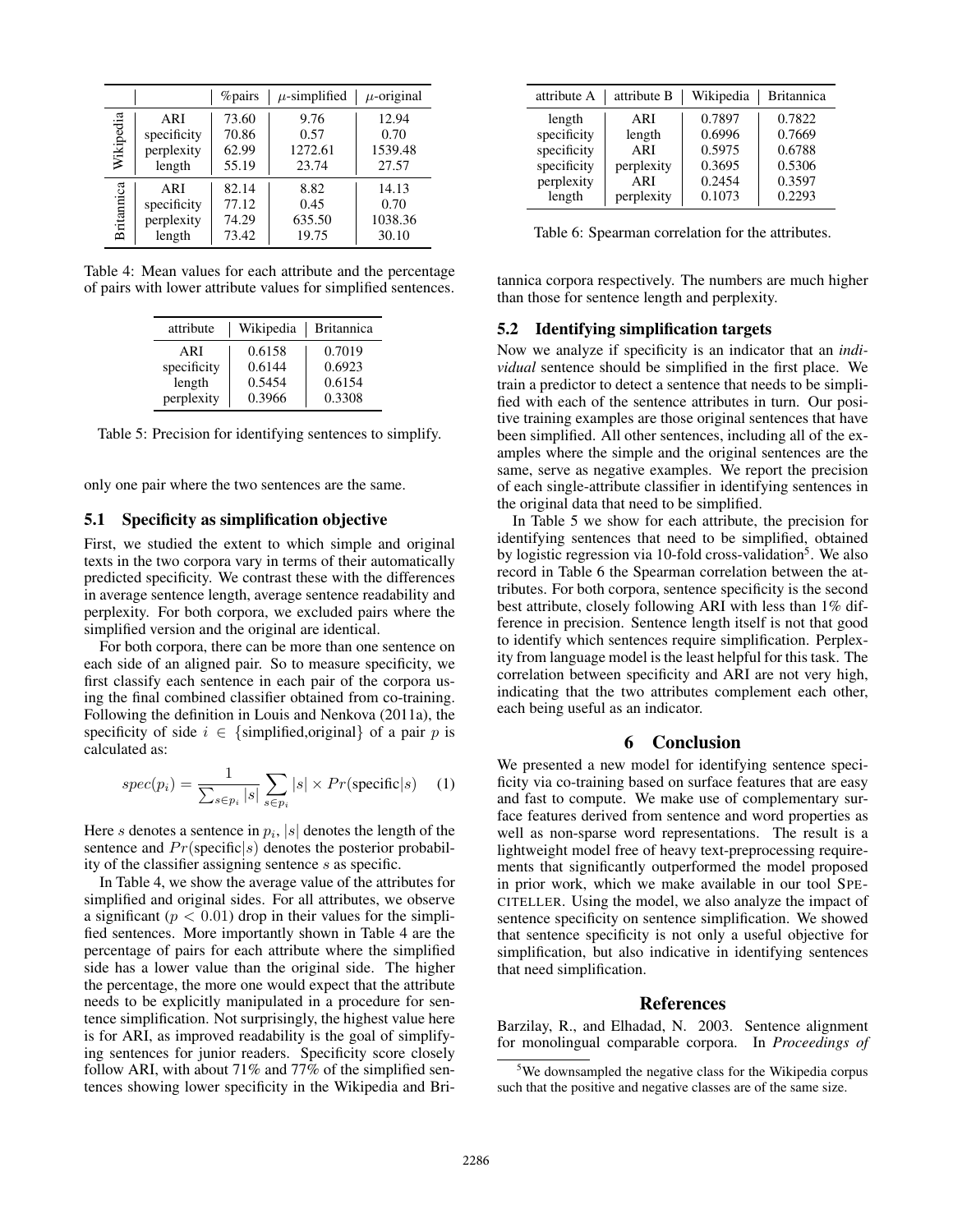|            |             | <i>%</i> pairs | $\mu$ -simplified | $\mu$ -original |
|------------|-------------|----------------|-------------------|-----------------|
| Wikipedia  | ARI         | 73.60          | 9.76              | 12.94           |
|            | specificity | 70.86          | 0.57              | 0.70            |
|            | perplexity  | 62.99          | 1272.61           | 1539.48         |
|            | length      | 55.19          | 23.74             | 27.57           |
|            | ARI         | 82.14          | 8.82              | 14.13           |
|            | specificity | 77.12          | 0.45              | 0.70            |
| Britannica | perplexity  | 74.29          | 635.50            | 1038.36         |
|            | length      | 73.42          | 19.75             | 30.10           |

Table 4: Mean values for each attribute and the percentage of pairs with lower attribute values for simplified sentences.

| attribute   | Wikipedia | <b>Britannica</b> |
|-------------|-----------|-------------------|
| ARI         | 0.6158    | 0.7019            |
| specificity | 0.6144    | 0.6923            |
| length      | 0.5454    | 0.6154            |
| perplexity  | 0.3966    | 0.3308            |

Table 5: Precision for identifying sentences to simplify.

only one pair where the two sentences are the same.

#### 5.1 Specificity as simplification objective

First, we studied the extent to which simple and original texts in the two corpora vary in terms of their automatically predicted specificity. We contrast these with the differences in average sentence length, average sentence readability and perplexity. For both corpora, we excluded pairs where the simplified version and the original are identical.

For both corpora, there can be more than one sentence on each side of an aligned pair. So to measure specificity, we first classify each sentence in each pair of the corpora using the final combined classifier obtained from co-training. Following the definition in Louis and Nenkova (2011a), the specificity of side  $i \in \{\text{simpified}, \text{original}\}\$  of a pair p is calculated as:

$$
spec(p_i) = \frac{1}{\sum_{s \in p_i} |s|} \sum_{s \in p_i} |s| \times Pr(\text{specific}|s) \quad (1)
$$

Here s denotes a sentence in  $p_i$ , |s| denotes the length of the sentence and  $Pr$ (specific|s) denotes the posterior probability of the classifier assigning sentence s as specific.

In Table 4, we show the average value of the attributes for simplified and original sides. For all attributes, we observe a significant ( $p < 0.01$ ) drop in their values for the simplified sentences. More importantly shown in Table 4 are the percentage of pairs for each attribute where the simplified side has a lower value than the original side. The higher the percentage, the more one would expect that the attribute needs to be explicitly manipulated in a procedure for sentence simplification. Not surprisingly, the highest value here is for ARI, as improved readability is the goal of simplifying sentences for junior readers. Specificity score closely follow ARI, with about 71% and 77% of the simplified sentences showing lower specificity in the Wikipedia and Bri-

| attribute A | attribute B | Wikipedia | <b>Britannica</b> |
|-------------|-------------|-----------|-------------------|
| length      | ARI         | 0.7897    | 0.7822            |
| specificity | length      | 0.6996    | 0.7669            |
| specificity | ARI         | 0.5975    | 0.6788            |
| specificity | perplexity  | 0.3695    | 0.5306            |
| perplexity  | ARI         | 0.2454    | 0.3597            |
| length      | perplexity  | 0.1073    | 0.2293            |

Table 6: Spearman correlation for the attributes.

tannica corpora respectively. The numbers are much higher than those for sentence length and perplexity.

#### 5.2 Identifying simplification targets

Now we analyze if specificity is an indicator that an *individual* sentence should be simplified in the first place. We train a predictor to detect a sentence that needs to be simplified with each of the sentence attributes in turn. Our positive training examples are those original sentences that have been simplified. All other sentences, including all of the examples where the simple and the original sentences are the same, serve as negative examples. We report the precision of each single-attribute classifier in identifying sentences in the original data that need to be simplified.

In Table 5 we show for each attribute, the precision for identifying sentences that need to be simplified, obtained by logistic regression via 10-fold cross-validation<sup>5</sup>. We also record in Table 6 the Spearman correlation between the attributes. For both corpora, sentence specificity is the second best attribute, closely following ARI with less than 1% difference in precision. Sentence length itself is not that good to identify which sentences require simplification. Perplexity from language model is the least helpful for this task. The correlation between specificity and ARI are not very high, indicating that the two attributes complement each other, each being useful as an indicator.

# 6 Conclusion

We presented a new model for identifying sentence specificity via co-training based on surface features that are easy and fast to compute. We make use of complementary surface features derived from sentence and word properties as well as non-sparse word representations. The result is a lightweight model free of heavy text-preprocessing requirements that significantly outperformed the model proposed in prior work, which we make available in our tool SPE-CITELLER. Using the model, we also analyze the impact of sentence specificity on sentence simplification. We showed that sentence specificity is not only a useful objective for simplification, but also indicative in identifying sentences that need simplification.

### References

Barzilay, R., and Elhadad, N. 2003. Sentence alignment for monolingual comparable corpora. In *Proceedings of*

<sup>&</sup>lt;sup>5</sup>We downsampled the negative class for the Wikipedia corpus such that the positive and negative classes are of the same size.